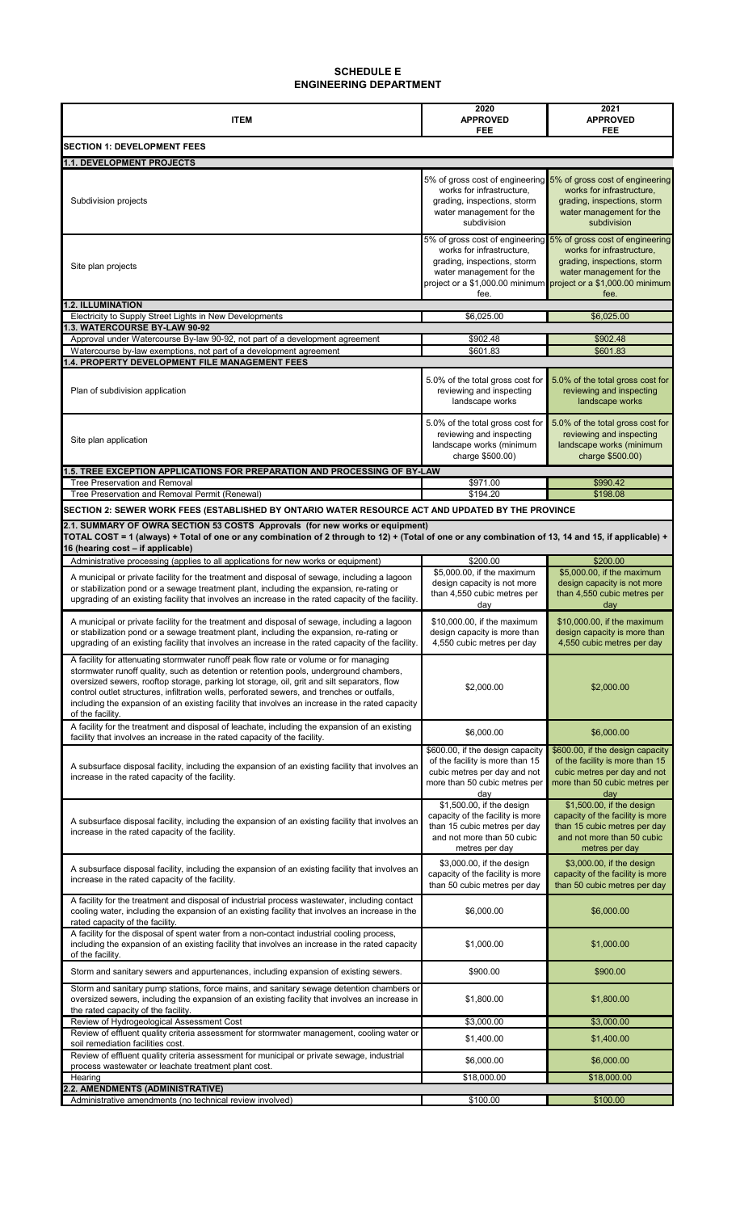| <b>ITEM</b>                                                                                                                                                                                                                                                                                                                                                                                                                                                                                          | 2020<br><b>APPROVED</b><br>FEE                                                                                                                | 2021<br><b>APPROVED</b><br>FEE                                                                                                                                                                                                     |  |  |
|------------------------------------------------------------------------------------------------------------------------------------------------------------------------------------------------------------------------------------------------------------------------------------------------------------------------------------------------------------------------------------------------------------------------------------------------------------------------------------------------------|-----------------------------------------------------------------------------------------------------------------------------------------------|------------------------------------------------------------------------------------------------------------------------------------------------------------------------------------------------------------------------------------|--|--|
| <b>SECTION 1: DEVELOPMENT FEES</b>                                                                                                                                                                                                                                                                                                                                                                                                                                                                   |                                                                                                                                               |                                                                                                                                                                                                                                    |  |  |
| 1.1. DEVELOPMENT PROJECTS                                                                                                                                                                                                                                                                                                                                                                                                                                                                            |                                                                                                                                               |                                                                                                                                                                                                                                    |  |  |
| Subdivision projects                                                                                                                                                                                                                                                                                                                                                                                                                                                                                 | 5% of gross cost of engineering<br>works for infrastructure,<br>grading, inspections, storm<br>water management for the<br>subdivision        | 5% of gross cost of engineering<br>works for infrastructure,<br>grading, inspections, storm<br>water management for the<br>subdivision                                                                                             |  |  |
| Site plan projects                                                                                                                                                                                                                                                                                                                                                                                                                                                                                   | works for infrastructure,<br>grading, inspections, storm<br>water management for the<br>fee.                                                  | 5% of gross cost of engineering 5% of gross cost of engineering<br>works for infrastructure,<br>grading, inspections, storm<br>water management for the<br>project or a \$1,000.00 minimum project or a \$1,000.00 minimum<br>fee. |  |  |
| <b>1.2. ILLUMINATION</b><br>Electricity to Supply Street Lights in New Developments                                                                                                                                                                                                                                                                                                                                                                                                                  | \$6,025.00                                                                                                                                    | \$6,025.00                                                                                                                                                                                                                         |  |  |
| 1.3. WATERCOURSE BY-LAW 90-92                                                                                                                                                                                                                                                                                                                                                                                                                                                                        |                                                                                                                                               |                                                                                                                                                                                                                                    |  |  |
| Approval under Watercourse By-law 90-92, not part of a development agreement                                                                                                                                                                                                                                                                                                                                                                                                                         | \$902.48                                                                                                                                      | \$902.48                                                                                                                                                                                                                           |  |  |
| Watercourse by-law exemptions, not part of a development agreement<br>1.4. PROPERTY DEVELOPMENT FILE MANAGEMENT FEES                                                                                                                                                                                                                                                                                                                                                                                 | \$601.83                                                                                                                                      | \$601.83                                                                                                                                                                                                                           |  |  |
| Plan of subdivision application                                                                                                                                                                                                                                                                                                                                                                                                                                                                      | 5.0% of the total gross cost for<br>reviewing and inspecting<br>landscape works                                                               | 5.0% of the total gross cost for<br>reviewing and inspecting<br>landscape works                                                                                                                                                    |  |  |
| Site plan application                                                                                                                                                                                                                                                                                                                                                                                                                                                                                | 5.0% of the total gross cost for<br>reviewing and inspecting<br>landscape works (minimum<br>charge \$500.00)                                  | 5.0% of the total gross cost for<br>reviewing and inspecting<br>landscape works (minimum<br>charge \$500.00)                                                                                                                       |  |  |
| 1.5. TREE EXCEPTION APPLICATIONS FOR PREPARATION AND PROCESSING OF BY-LAW                                                                                                                                                                                                                                                                                                                                                                                                                            |                                                                                                                                               |                                                                                                                                                                                                                                    |  |  |
| <b>Tree Preservation and Removal</b>                                                                                                                                                                                                                                                                                                                                                                                                                                                                 | \$971.00                                                                                                                                      | \$990.42                                                                                                                                                                                                                           |  |  |
| Tree Preservation and Removal Permit (Renewal)                                                                                                                                                                                                                                                                                                                                                                                                                                                       | \$194.20                                                                                                                                      | \$198.08                                                                                                                                                                                                                           |  |  |
| SECTION 2: SEWER WORK FEES (ESTABLISHED BY ONTARIO WATER RESOURCE ACT AND UPDATED BY THE PROVINCE<br>2.1. SUMMARY OF OWRA SECTION 53 COSTS Approvals (for new works or equipment)<br>TOTAL COST = 1 (always) + Total of one or any combination of 2 through to 12) + (Total of one or any combination of 13, 14 and 15, if applicable) +<br>16 (hearing cost - if applicable)                                                                                                                        |                                                                                                                                               |                                                                                                                                                                                                                                    |  |  |
| Administrative processing (applies to all applications for new works or equipment)                                                                                                                                                                                                                                                                                                                                                                                                                   | \$200.00                                                                                                                                      | \$200.00                                                                                                                                                                                                                           |  |  |
| A municipal or private facility for the treatment and disposal of sewage, including a lagoon<br>or stabilization pond or a sewage treatment plant, including the expansion, re-rating or<br>upgrading of an existing facility that involves an increase in the rated capacity of the facility.                                                                                                                                                                                                       | \$5,000.00, if the maximum<br>design capacity is not more<br>than 4,550 cubic metres per<br>day                                               | \$5,000.00, if the maximum<br>design capacity is not more<br>than 4,550 cubic metres per<br>day                                                                                                                                    |  |  |
| A municipal or private facility for the treatment and disposal of sewage, including a lagoon<br>or stabilization pond or a sewage treatment plant, including the expansion, re-rating or<br>upgrading of an existing facility that involves an increase in the rated capacity of the facility.                                                                                                                                                                                                       | \$10,000.00, if the maximum<br>design capacity is more than<br>4,550 cubic metres per day                                                     | \$10,000.00, if the maximum<br>design capacity is more than<br>4,550 cubic metres per day                                                                                                                                          |  |  |
| A facility for attenuating stormwater runoff peak flow rate or volume or for managing<br>stormwater runoff quality, such as detention or retention pools, underground chambers,<br>oversized sewers, rooftop storage, parking lot storage, oil, grit and silt separators, flow<br>control outlet structures, infiltration wells, perforated sewers, and trenches or outfalls,<br>including the expansion of an existing facility that involves an increase in the rated capacity<br>of the facility. | \$2,000.00                                                                                                                                    | \$2,000.00                                                                                                                                                                                                                         |  |  |
| A facility for the treatment and disposal of leachate, including the expansion of an existing<br>facility that involves an increase in the rated capacity of the facility.                                                                                                                                                                                                                                                                                                                           | \$6,000.00                                                                                                                                    | \$6,000.00                                                                                                                                                                                                                         |  |  |
| A subsurface disposal facility, including the expansion of an existing facility that involves an<br>increase in the rated capacity of the facility.                                                                                                                                                                                                                                                                                                                                                  | \$600.00, if the design capacity<br>of the facility is more than 15<br>cubic metres per day and not<br>more than 50 cubic metres per<br>day   | \$600.00, if the design capacity<br>of the facility is more than 15<br>cubic metres per day and not<br>more than 50 cubic metres per<br>day                                                                                        |  |  |
| A subsurface disposal facility, including the expansion of an existing facility that involves an<br>increase in the rated capacity of the facility.                                                                                                                                                                                                                                                                                                                                                  | \$1,500.00, if the design<br>capacity of the facility is more<br>than 15 cubic metres per day<br>and not more than 50 cubic<br>metres per day | \$1,500.00, if the design<br>capacity of the facility is more<br>than 15 cubic metres per day<br>and not more than 50 cubic<br>metres per day                                                                                      |  |  |
| A subsurface disposal facility, including the expansion of an existing facility that involves an<br>increase in the rated capacity of the facility.                                                                                                                                                                                                                                                                                                                                                  | \$3,000.00, if the design<br>capacity of the facility is more<br>than 50 cubic metres per day                                                 | \$3,000.00, if the design<br>capacity of the facility is more<br>than 50 cubic metres per day                                                                                                                                      |  |  |
| A facility for the treatment and disposal of industrial process wastewater, including contact<br>cooling water, including the expansion of an existing facility that involves an increase in the<br>rated capacity of the facility.                                                                                                                                                                                                                                                                  | \$6,000.00                                                                                                                                    | \$6,000.00                                                                                                                                                                                                                         |  |  |
| A facility for the disposal of spent water from a non-contact industrial cooling process,<br>including the expansion of an existing facility that involves an increase in the rated capacity<br>of the facility.                                                                                                                                                                                                                                                                                     | \$1,000.00                                                                                                                                    | \$1,000.00                                                                                                                                                                                                                         |  |  |
| Storm and sanitary sewers and appurtenances, including expansion of existing sewers.                                                                                                                                                                                                                                                                                                                                                                                                                 | \$900.00                                                                                                                                      | \$900.00                                                                                                                                                                                                                           |  |  |
| Storm and sanitary pump stations, force mains, and sanitary sewage detention chambers or<br>oversized sewers, including the expansion of an existing facility that involves an increase in<br>the rated capacity of the facility.                                                                                                                                                                                                                                                                    | \$1,800.00                                                                                                                                    | \$1,800.00                                                                                                                                                                                                                         |  |  |
| Review of Hydrogeological Assessment Cost<br>Review of effluent quality criteria assessment for stormwater management, cooling water or                                                                                                                                                                                                                                                                                                                                                              | \$3,000.00                                                                                                                                    | \$3,000.00                                                                                                                                                                                                                         |  |  |
| soil remediation facilities cost.<br>Review of effluent quality criteria assessment for municipal or private sewage, industrial                                                                                                                                                                                                                                                                                                                                                                      | \$1,400.00                                                                                                                                    | \$1,400.00                                                                                                                                                                                                                         |  |  |
| process wastewater or leachate treatment plant cost.                                                                                                                                                                                                                                                                                                                                                                                                                                                 | \$6,000.00                                                                                                                                    | \$6,000.00                                                                                                                                                                                                                         |  |  |
| Hearing<br>2.2. AMENDMENTS (ADMINISTRATIVE)                                                                                                                                                                                                                                                                                                                                                                                                                                                          | \$18,000.00                                                                                                                                   | \$18,000.00                                                                                                                                                                                                                        |  |  |
| Administrative amendments (no technical review involved)                                                                                                                                                                                                                                                                                                                                                                                                                                             | \$100.00                                                                                                                                      | \$100.00                                                                                                                                                                                                                           |  |  |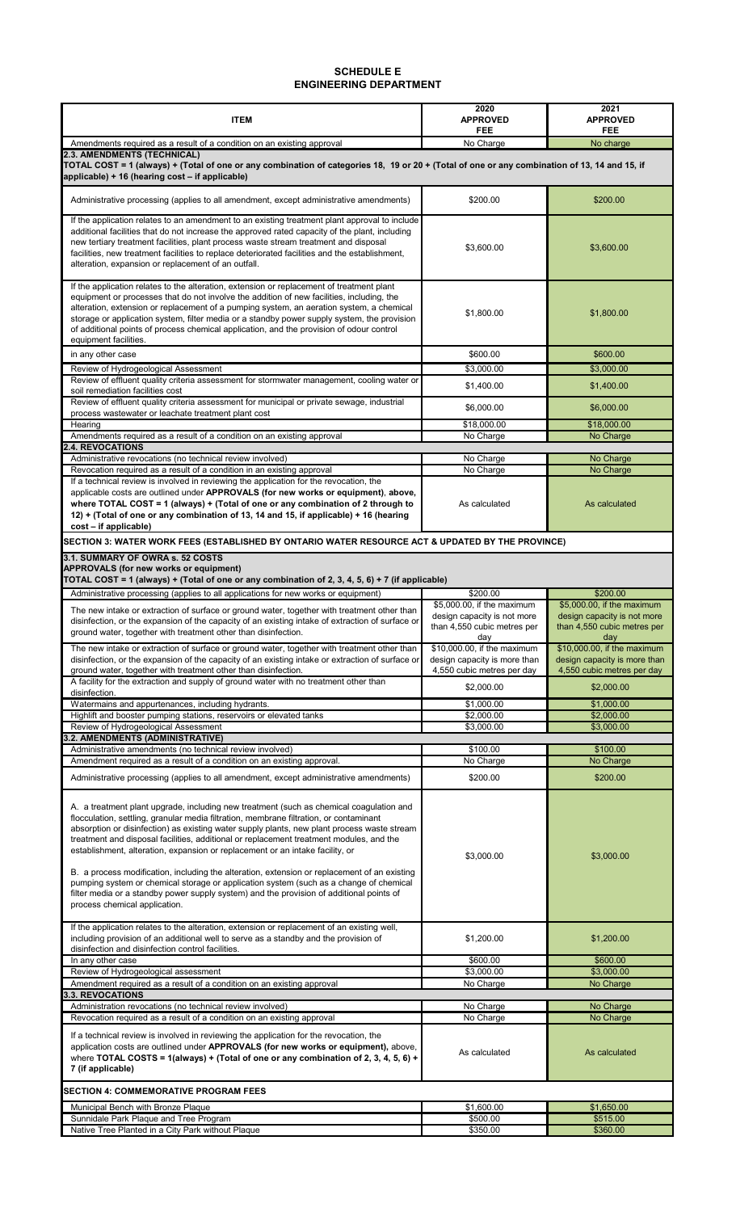| <b>ITEM</b>                                                                                                                                                                                                                                                                                                                                                                                                                                                                                                                                                                                                                                                                                                                                                                         | 2020<br><b>APPROVED</b><br>FEE                                                                  | 2021<br><b>APPROVED</b><br>FEE                                                                  |  |
|-------------------------------------------------------------------------------------------------------------------------------------------------------------------------------------------------------------------------------------------------------------------------------------------------------------------------------------------------------------------------------------------------------------------------------------------------------------------------------------------------------------------------------------------------------------------------------------------------------------------------------------------------------------------------------------------------------------------------------------------------------------------------------------|-------------------------------------------------------------------------------------------------|-------------------------------------------------------------------------------------------------|--|
| Amendments required as a result of a condition on an existing approval                                                                                                                                                                                                                                                                                                                                                                                                                                                                                                                                                                                                                                                                                                              | No Charge                                                                                       | No charge                                                                                       |  |
| 2.3. AMENDMENTS (TECHNICAL)<br>TOTAL COST = 1 (always) + (Total of one or any combination of categories 18, 19 or 20 + (Total of one or any combination of 13, 14 and 15, if<br>applicable) + 16 (hearing cost – if applicable)                                                                                                                                                                                                                                                                                                                                                                                                                                                                                                                                                     |                                                                                                 |                                                                                                 |  |
| Administrative processing (applies to all amendment, except administrative amendments)                                                                                                                                                                                                                                                                                                                                                                                                                                                                                                                                                                                                                                                                                              | \$200.00                                                                                        | \$200.00                                                                                        |  |
| If the application relates to an amendment to an existing treatment plant approval to include<br>additional facilities that do not increase the approved rated capacity of the plant, including<br>new tertiary treatment facilities, plant process waste stream treatment and disposal<br>facilities, new treatment facilities to replace deteriorated facilities and the establishment,<br>alteration, expansion or replacement of an outfall.                                                                                                                                                                                                                                                                                                                                    | \$3,600.00                                                                                      | \$3,600.00                                                                                      |  |
| If the application relates to the alteration, extension or replacement of treatment plant<br>equipment or processes that do not involve the addition of new facilities, including, the<br>alteration, extension or replacement of a pumping system, an aeration system, a chemical<br>storage or application system, filter media or a standby power supply system, the provision<br>of additional points of process chemical application, and the provision of odour control<br>equipment facilities.                                                                                                                                                                                                                                                                              | \$1,800.00                                                                                      | \$1,800.00                                                                                      |  |
| in any other case                                                                                                                                                                                                                                                                                                                                                                                                                                                                                                                                                                                                                                                                                                                                                                   | \$600.00                                                                                        | \$600.00                                                                                        |  |
| Review of Hydrogeological Assessment                                                                                                                                                                                                                                                                                                                                                                                                                                                                                                                                                                                                                                                                                                                                                | \$3,000.00                                                                                      | \$3,000.00                                                                                      |  |
| Review of effluent quality criteria assessment for stormwater management, cooling water or<br>soil remediation facilities cost                                                                                                                                                                                                                                                                                                                                                                                                                                                                                                                                                                                                                                                      | \$1,400.00                                                                                      | \$1,400.00                                                                                      |  |
| Review of effluent quality criteria assessment for municipal or private sewage, industrial<br>process wastewater or leachate treatment plant cost                                                                                                                                                                                                                                                                                                                                                                                                                                                                                                                                                                                                                                   | \$6,000.00                                                                                      | \$6,000.00                                                                                      |  |
| Hearing                                                                                                                                                                                                                                                                                                                                                                                                                                                                                                                                                                                                                                                                                                                                                                             | \$18,000.00                                                                                     | \$18,000.00                                                                                     |  |
| Amendments required as a result of a condition on an existing approval<br><b>2.4. REVOCATIONS</b>                                                                                                                                                                                                                                                                                                                                                                                                                                                                                                                                                                                                                                                                                   | No Charge                                                                                       | No Charge                                                                                       |  |
| Administrative revocations (no technical review involved)                                                                                                                                                                                                                                                                                                                                                                                                                                                                                                                                                                                                                                                                                                                           | No Charge                                                                                       | No Charge                                                                                       |  |
| Revocation required as a result of a condition in an existing approval                                                                                                                                                                                                                                                                                                                                                                                                                                                                                                                                                                                                                                                                                                              | No Charge                                                                                       | No Charge                                                                                       |  |
| If a technical review is involved in reviewing the application for the revocation, the<br>applicable costs are outlined under APPROVALS (for new works or equipment), above,<br>where TOTAL COST = 1 (always) $+$ (Total of one or any combination of 2 through to<br>12) + (Total of one or any combination of 13, 14 and 15, if applicable) + 16 (hearing<br>cost - if applicable)                                                                                                                                                                                                                                                                                                                                                                                                | As calculated                                                                                   | As calculated                                                                                   |  |
| SECTION 3: WATER WORK FEES (ESTABLISHED BY ONTARIO WATER RESOURCE ACT & UPDATED BY THE PROVINCE)                                                                                                                                                                                                                                                                                                                                                                                                                                                                                                                                                                                                                                                                                    |                                                                                                 |                                                                                                 |  |
| 3.1. SUMMARY OF OWRA s. 52 COSTS<br><b>APPROVALS (for new works or equipment)</b><br>TOTAL COST = 1 (always) + (Total of one or any combination of 2, 3, 4, 5, 6) + 7 (if applicable)                                                                                                                                                                                                                                                                                                                                                                                                                                                                                                                                                                                               |                                                                                                 |                                                                                                 |  |
| Administrative processing (applies to all applications for new works or equipment)                                                                                                                                                                                                                                                                                                                                                                                                                                                                                                                                                                                                                                                                                                  | \$200.00                                                                                        | \$200.00                                                                                        |  |
| The new intake or extraction of surface or ground water, together with treatment other than<br>disinfection, or the expansion of the capacity of an existing intake of extraction of surface or<br>ground water, together with treatment other than disinfection.                                                                                                                                                                                                                                                                                                                                                                                                                                                                                                                   | \$5,000.00, if the maximum<br>design capacity is not more<br>than 4,550 cubic metres per<br>day | \$5,000.00, if the maximum<br>design capacity is not more<br>than 4,550 cubic metres per<br>day |  |
| The new intake or extraction of surface or ground water, together with treatment other than<br>disinfection, or the expansion of the capacity of an existing intake or extraction of surface or<br>ground water, together with treatment other than disinfection.                                                                                                                                                                                                                                                                                                                                                                                                                                                                                                                   | \$10,000.00, if the maximum<br>design capacity is more than<br>4,550 cubic metres per day       | \$10,000.00, if the maximum<br>design capacity is more than<br>4,550 cubic metres per day       |  |
| A facility for the extraction and supply of ground water with no treatment other than<br>disinfection.                                                                                                                                                                                                                                                                                                                                                                                                                                                                                                                                                                                                                                                                              | \$2,000.00                                                                                      | \$2,000.00                                                                                      |  |
| Watermains and appurtenances, including hydrants.                                                                                                                                                                                                                                                                                                                                                                                                                                                                                                                                                                                                                                                                                                                                   | \$1,000.00                                                                                      | \$1,000.00                                                                                      |  |
| Highlift and booster pumping stations, reservoirs or elevated tanks                                                                                                                                                                                                                                                                                                                                                                                                                                                                                                                                                                                                                                                                                                                 | \$2,000.00                                                                                      | \$2,000.00                                                                                      |  |
| Review of Hydrogeological Assessment<br><b>3.2. AMENDMENTS (ADMINISTRATIVE)</b>                                                                                                                                                                                                                                                                                                                                                                                                                                                                                                                                                                                                                                                                                                     | \$3,000.00                                                                                      | \$3,000.00                                                                                      |  |
| Administrative amendments (no technical review involved)                                                                                                                                                                                                                                                                                                                                                                                                                                                                                                                                                                                                                                                                                                                            | \$100.00                                                                                        | \$100.00                                                                                        |  |
| Amendment required as a result of a condition on an existing approval.                                                                                                                                                                                                                                                                                                                                                                                                                                                                                                                                                                                                                                                                                                              | No Charge                                                                                       | No Charge                                                                                       |  |
| Administrative processing (applies to all amendment, except administrative amendments)                                                                                                                                                                                                                                                                                                                                                                                                                                                                                                                                                                                                                                                                                              | \$200.00                                                                                        | \$200.00                                                                                        |  |
| A. a treatment plant upgrade, including new treatment (such as chemical coagulation and<br>flocculation, settling, granular media filtration, membrane filtration, or contaminant<br>absorption or disinfection) as existing water supply plants, new plant process waste stream<br>treatment and disposal facilities, additional or replacement treatment modules, and the<br>establishment, alteration, expansion or replacement or an intake facility, or<br>B. a process modification, including the alteration, extension or replacement of an existing<br>pumping system or chemical storage or application system (such as a change of chemical<br>filter media or a standby power supply system) and the provision of additional points of<br>process chemical application. | \$3,000.00                                                                                      | \$3,000.00                                                                                      |  |
| If the application relates to the alteration, extension or replacement of an existing well,<br>including provision of an additional well to serve as a standby and the provision of<br>disinfection and disinfection control facilities.                                                                                                                                                                                                                                                                                                                                                                                                                                                                                                                                            | \$1,200.00                                                                                      | \$1,200.00                                                                                      |  |
| In any other case                                                                                                                                                                                                                                                                                                                                                                                                                                                                                                                                                                                                                                                                                                                                                                   | \$600.00<br>\$3,000.00                                                                          | \$600.00<br>\$3,000.00                                                                          |  |
| Review of Hydrogeological assessment<br>Amendment required as a result of a condition on an existing approval                                                                                                                                                                                                                                                                                                                                                                                                                                                                                                                                                                                                                                                                       | No Charge                                                                                       | No Charge                                                                                       |  |
| <b>3.3. REVOCATIONS</b>                                                                                                                                                                                                                                                                                                                                                                                                                                                                                                                                                                                                                                                                                                                                                             |                                                                                                 |                                                                                                 |  |
| Administration revocations (no technical review involved)                                                                                                                                                                                                                                                                                                                                                                                                                                                                                                                                                                                                                                                                                                                           | No Charge                                                                                       | No Charge                                                                                       |  |
| Revocation required as a result of a condition on an existing approval<br>If a technical review is involved in reviewing the application for the revocation, the<br>application costs are outlined under APPROVALS (for new works or equipment), above,<br>where TOTAL COSTS = $1$ (always) + (Total of one or any combination of 2, 3, 4, 5, 6) +<br>7 (if applicable)                                                                                                                                                                                                                                                                                                                                                                                                             | No Charge<br>As calculated                                                                      | No Charge<br>As calculated                                                                      |  |
| <b>SECTION 4: COMMEMORATIVE PROGRAM FEES</b>                                                                                                                                                                                                                                                                                                                                                                                                                                                                                                                                                                                                                                                                                                                                        |                                                                                                 |                                                                                                 |  |
| Municipal Bench with Bronze Plaque                                                                                                                                                                                                                                                                                                                                                                                                                                                                                                                                                                                                                                                                                                                                                  | \$1,600.00                                                                                      | \$1,650.00                                                                                      |  |
| Sunnidale Park Plaque and Tree Program                                                                                                                                                                                                                                                                                                                                                                                                                                                                                                                                                                                                                                                                                                                                              | \$500.00                                                                                        | \$515.00                                                                                        |  |
| Native Tree Planted in a City Park without Plaque                                                                                                                                                                                                                                                                                                                                                                                                                                                                                                                                                                                                                                                                                                                                   | \$350.00                                                                                        | \$360.00                                                                                        |  |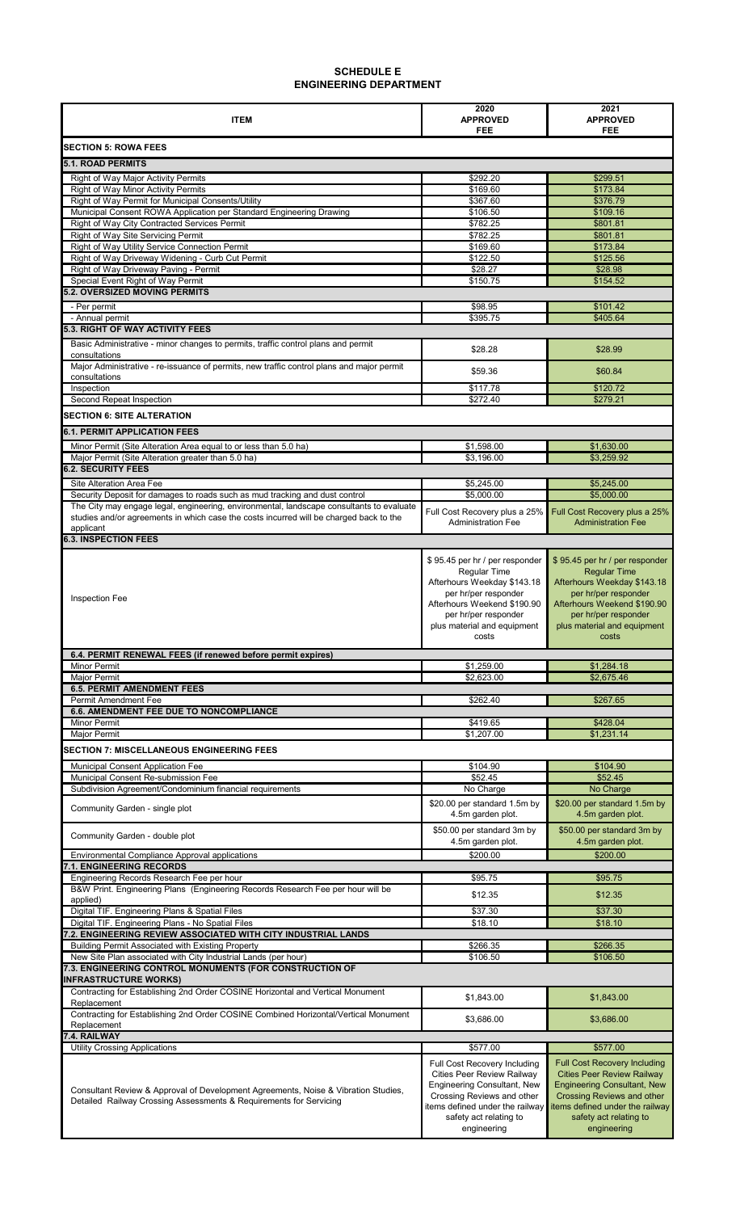| <b>ITEM</b>                                                                                                                                              | 2020<br><b>APPROVED</b>                                                                                                | 2021<br><b>APPROVED</b>                                                                                                              |
|----------------------------------------------------------------------------------------------------------------------------------------------------------|------------------------------------------------------------------------------------------------------------------------|--------------------------------------------------------------------------------------------------------------------------------------|
|                                                                                                                                                          | FEE                                                                                                                    | <b>FEE</b>                                                                                                                           |
| <b>SECTION 5: ROWA FEES</b>                                                                                                                              |                                                                                                                        |                                                                                                                                      |
| <b>5.1. ROAD PERMITS</b>                                                                                                                                 | \$292.20                                                                                                               |                                                                                                                                      |
| Right of Way Major Activity Permits<br>Right of Way Minor Activity Permits                                                                               | \$169.60                                                                                                               | \$299.51<br>\$173.84                                                                                                                 |
| Right of Way Permit for Municipal Consents/Utility                                                                                                       | \$367.60                                                                                                               | \$376.79                                                                                                                             |
| Municipal Consent ROWA Application per Standard Engineering Drawing                                                                                      | \$106.50                                                                                                               | \$109.16                                                                                                                             |
| Right of Way City Contracted Services Permit                                                                                                             | \$782.25                                                                                                               | \$801.81                                                                                                                             |
| Right of Way Site Servicing Permit                                                                                                                       | \$782.25                                                                                                               | \$801.81<br>\$173.84                                                                                                                 |
| Right of Way Utility Service Connection Permit<br>Right of Way Driveway Widening - Curb Cut Permit                                                       | \$169.60<br>\$122.50                                                                                                   | \$125.56                                                                                                                             |
| Right of Way Driveway Paving - Permit                                                                                                                    | \$28.27                                                                                                                | \$28.98                                                                                                                              |
| Special Event Right of Way Permit                                                                                                                        | \$150.75                                                                                                               | \$154.52                                                                                                                             |
| <b>5.2. OVERSIZED MOVING PERMITS</b>                                                                                                                     |                                                                                                                        |                                                                                                                                      |
| - Per permit                                                                                                                                             | \$98.95                                                                                                                | \$101.42                                                                                                                             |
| - Annual permit                                                                                                                                          | \$395.75                                                                                                               | \$405.64                                                                                                                             |
| <b>5.3. RIGHT OF WAY ACTIVITY FEES</b>                                                                                                                   |                                                                                                                        |                                                                                                                                      |
| Basic Administrative - minor changes to permits, traffic control plans and permit<br>consultations                                                       | \$28.28                                                                                                                | \$28.99                                                                                                                              |
| Major Administrative - re-issuance of permits, new traffic control plans and major permit                                                                |                                                                                                                        |                                                                                                                                      |
| consultations                                                                                                                                            | \$59.36                                                                                                                | \$60.84                                                                                                                              |
| Inspection<br>Second Repeat Inspection                                                                                                                   | \$117.78<br>\$272.40                                                                                                   | \$120.72<br>\$279.21                                                                                                                 |
|                                                                                                                                                          |                                                                                                                        |                                                                                                                                      |
| <b>SECTION 6: SITE ALTERATION</b>                                                                                                                        |                                                                                                                        |                                                                                                                                      |
| <b>6.1. PERMIT APPLICATION FEES</b>                                                                                                                      |                                                                                                                        |                                                                                                                                      |
| Minor Permit (Site Alteration Area equal to or less than 5.0 ha)                                                                                         | \$1,598.00                                                                                                             | \$1,630.00                                                                                                                           |
| Major Permit (Site Alteration greater than 5.0 ha)<br><b>6.2. SECURITY FEES</b>                                                                          | \$3,196.00                                                                                                             | \$3,259.92                                                                                                                           |
|                                                                                                                                                          |                                                                                                                        |                                                                                                                                      |
| Site Alteration Area Fee<br>Security Deposit for damages to roads such as mud tracking and dust control                                                  | \$5,245.00<br>\$5,000.00                                                                                               | \$5,245.00<br>\$5,000.00                                                                                                             |
| The City may engage legal, engineering, environmental, landscape consultants to evaluate                                                                 |                                                                                                                        |                                                                                                                                      |
| studies and/or agreements in which case the costs incurred will be charged back to the<br>applicant                                                      | Full Cost Recovery plus a 25%<br><b>Administration Fee</b>                                                             | Full Cost Recovery plus a 25%<br><b>Administration Fee</b>                                                                           |
| <b>6.3. INSPECTION FEES</b>                                                                                                                              |                                                                                                                        |                                                                                                                                      |
|                                                                                                                                                          | \$95.45 per hr / per responder                                                                                         | \$95.45 per hr / per responder                                                                                                       |
|                                                                                                                                                          | <b>Regular Time</b>                                                                                                    | <b>Regular Time</b>                                                                                                                  |
|                                                                                                                                                          | Afterhours Weekday \$143.18                                                                                            | Afterhours Weekday \$143.18                                                                                                          |
| <b>Inspection Fee</b>                                                                                                                                    | per hr/per responder                                                                                                   | per hr/per responder                                                                                                                 |
|                                                                                                                                                          | Afterhours Weekend \$190.90                                                                                            | Afterhours Weekend \$190.90                                                                                                          |
|                                                                                                                                                          | per hr/per responder<br>plus material and equipment                                                                    | per hr/per responder<br>plus material and equipment                                                                                  |
|                                                                                                                                                          | costs                                                                                                                  | costs                                                                                                                                |
| 6.4. PERMIT RENEWAL FEES (if renewed before permit expires)                                                                                              |                                                                                                                        |                                                                                                                                      |
| <b>Minor Permit</b>                                                                                                                                      | \$1,259.00                                                                                                             | \$1,284.18                                                                                                                           |
| <b>Major Permit</b>                                                                                                                                      | \$2,623.00                                                                                                             | \$2,675.46                                                                                                                           |
| <b>6.5. PERMIT AMENDMENT FEES</b>                                                                                                                        |                                                                                                                        |                                                                                                                                      |
| <b>Permit Amendment Fee</b><br>6.6. AMENDMENT FEE DUE TO NONCOMPLIANCE                                                                                   | \$262.40                                                                                                               | \$267.65                                                                                                                             |
| <b>Minor Permit</b>                                                                                                                                      | \$419.65                                                                                                               | \$428.04                                                                                                                             |
| <b>Major Permit</b>                                                                                                                                      | \$1,207.00                                                                                                             | \$1,231.14                                                                                                                           |
| <b>SECTION 7: MISCELLANEOUS ENGINEERING FEES</b>                                                                                                         |                                                                                                                        |                                                                                                                                      |
|                                                                                                                                                          |                                                                                                                        | \$104.90                                                                                                                             |
| Municipal Consent Application Fee<br>Municipal Consent Re-submission Fee                                                                                 | \$104.90<br>\$52.45                                                                                                    | \$52.45                                                                                                                              |
| Subdivision Agreement/Condominium financial requirements                                                                                                 | No Charge                                                                                                              | No Charge                                                                                                                            |
|                                                                                                                                                          | \$20.00 per standard 1.5m by                                                                                           | \$20.00 per standard 1.5m by                                                                                                         |
| Community Garden - single plot                                                                                                                           | 4.5m garden plot.                                                                                                      | 4.5m garden plot.                                                                                                                    |
| Community Garden - double plot                                                                                                                           | \$50.00 per standard 3m by                                                                                             | \$50.00 per standard 3m by                                                                                                           |
|                                                                                                                                                          | 4.5m garden plot.                                                                                                      | 4.5m garden plot.                                                                                                                    |
| Environmental Compliance Approval applications<br>7.1. ENGINEERING RECORDS                                                                               | \$200.00                                                                                                               | \$200.00                                                                                                                             |
| Engineering Records Research Fee per hour                                                                                                                | \$95.75                                                                                                                | \$95.75                                                                                                                              |
| B&W Print. Engineering Plans (Engineering Records Research Fee per hour will be                                                                          | \$12.35                                                                                                                | \$12.35                                                                                                                              |
| applied)                                                                                                                                                 |                                                                                                                        |                                                                                                                                      |
| Digital TIF. Engineering Plans & Spatial Files<br>Digital TIF. Engineering Plans - No Spatial Files                                                      | \$37.30<br>\$18.10                                                                                                     | \$37.30<br>\$18.10                                                                                                                   |
| 7.2. ENGINEERING REVIEW ASSOCIATED WITH CITY INDUSTRIAL LANDS                                                                                            |                                                                                                                        |                                                                                                                                      |
| <b>Building Permit Associated with Existing Property</b>                                                                                                 | \$266.35                                                                                                               | \$266.35                                                                                                                             |
| New Site Plan associated with City Industrial Lands (per hour)                                                                                           | \$106.50                                                                                                               | \$106.50                                                                                                                             |
| 7.3. ENGINEERING CONTROL MONUMENTS (FOR CONSTRUCTION OF<br><b>INFRASTRUCTURE WORKS)</b>                                                                  |                                                                                                                        |                                                                                                                                      |
| Contracting for Establishing 2nd Order COSINE Horizontal and Vertical Monument<br>Replacement                                                            | \$1,843.00                                                                                                             | \$1,843.00                                                                                                                           |
| Contracting for Establishing 2nd Order COSINE Combined Horizontal/Vertical Monument<br>Replacement                                                       | \$3,686.00                                                                                                             | \$3,686.00                                                                                                                           |
| 7.4. RAILWAY                                                                                                                                             |                                                                                                                        |                                                                                                                                      |
| <b>Utility Crossing Applications</b>                                                                                                                     | \$577.00                                                                                                               | \$577.00                                                                                                                             |
|                                                                                                                                                          | Full Cost Recovery Including<br><b>Cities Peer Review Railway</b>                                                      | <b>Full Cost Recovery Including</b><br><b>Cities Peer Review Railway</b>                                                             |
| Consultant Review & Approval of Development Agreements, Noise & Vibration Studies,<br>Detailed Railway Crossing Assessments & Requirements for Servicing | Engineering Consultant, New<br>Crossing Reviews and other<br>items defined under the railway<br>safety act relating to | <b>Engineering Consultant, New</b><br><b>Crossing Reviews and other</b><br>items defined under the railway<br>safety act relating to |
|                                                                                                                                                          | engineering                                                                                                            | engineering                                                                                                                          |